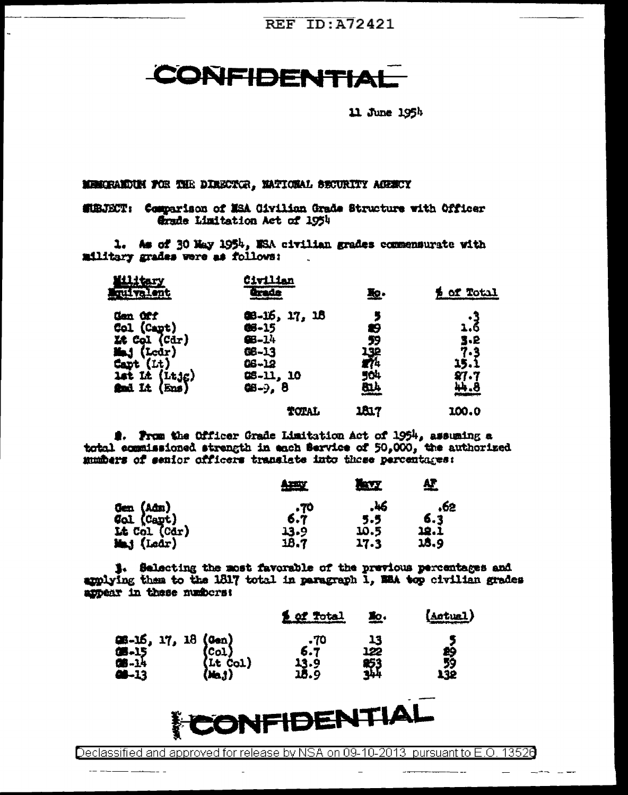**REF ID: A72421** 

**CONFIDENTIAL** 

11 June 195h

MEMORANDUM FOR THE DIRECTOR. MATIONAL SECURITY ACRECY

المنابي المتعاقبات

MIRJECT: Comparison of MSA Givilian Grade Structure with Officer Grade Limitation Act of 1954

1. As of 30 May 1954, MSA civilian grades commensurate with military grades were as follows:

| <b>quivalent</b>                                                         | <u>Civilian</u><br>Grade | 验·         | <b>Sof Total</b>         |
|--------------------------------------------------------------------------|--------------------------|------------|--------------------------|
| Gen Off                                                                  | 48-16, 17, 18            |            | 3.<br>6.د                |
| Col (Capt)                                                               | 06-15                    | æ,         |                          |
|                                                                          | $46 - 14$                | 59         |                          |
|                                                                          | 68-13                    |            |                          |
|                                                                          | $06 - 12$                | 132<br>174 | $3.2$<br>$7.3$<br>$15.1$ |
|                                                                          | 08-11, 10                |            |                          |
| Le Col (Cdr)<br>Maj (Ledr)<br>Capt (Lt)<br>Lat Lt (Ltjg)<br>Mad Lt (Ens) | <b>68-9, 8</b>           | 504<br>814 | $27.7$<br>$44.8$         |
|                                                                          | TOTAL                    | 1817       | 100.0                    |
|                                                                          |                          |            |                          |

2. From the Officer Grade Limitation Act of 1954, assuming a total equalssioned strength in each Service of 50,000, the authorized mumbers of senior officers translate into those percentages:

|                                                                 | <u>Army</u> | <u>liny</u> | <u>AF</u> |
|-----------------------------------------------------------------|-------------|-------------|-----------|
| <b>Gen (Adm)<br/>Wol (Capt)<br/>Lt Col (Cdr)<br/>Mmj (Ledr)</b> |             | .46         | .62       |
|                                                                 | $6.7^{0}$   | 5.5         | 6.3       |
|                                                                 | 13.9        | 10.5        | 18.1      |
|                                                                 | 18.7        | 17.3        | 18.9      |

1. Selecting the most favorable of the previous percentages and amplying them to the 1817 total in paragraph 1, MEA top civilian grades appear in these numbers:

|                                                 | of Total | 塾.         | (Aotual) |
|-------------------------------------------------|----------|------------|----------|
| 第-15, 17, 18 (Cen)<br>第-15 (Col)<br>第-14 (Lt Co | -70      | 13         |          |
|                                                 | 6.7      | 122        | eş<br>59 |
| $(Lt \text{ col})$<br>$(Ma.t)$<br><b>CB-13</b>  | 13.9     | <b>253</b> | ∡32      |



Declassified and approved for release by NSA on 09-10-2013 pursuant to E.O. 13526